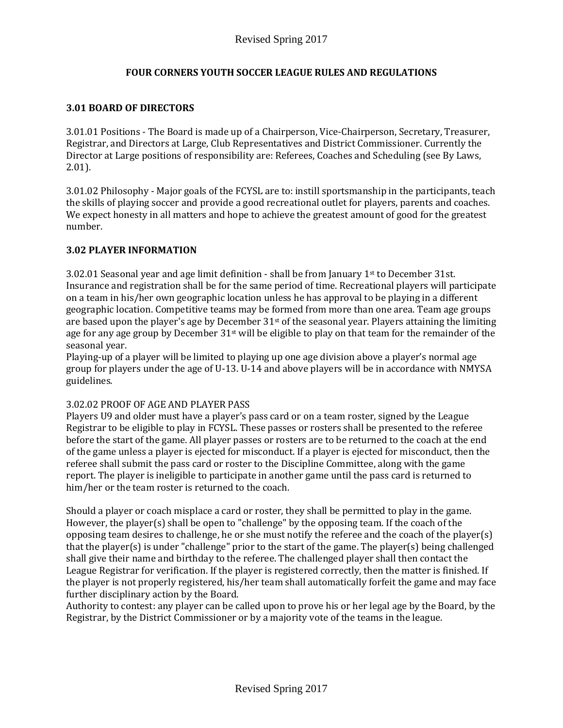# **FOUR CORNERS YOUTH SOCCER LEAGUE RULES AND REGULATIONS**

## **3.01 BOARD OF DIRECTORS**

3.01.01 Positions - The Board is made up of a Chairperson, Vice-Chairperson, Secretary, Treasurer, Registrar, and Directors at Large, Club Representatives and District Commissioner. Currently the Director at Large positions of responsibility are: Referees, Coaches and Scheduling (see By Laws, 2.01).

3.01.02 Philosophy - Major goals of the FCYSL are to: instill sportsmanship in the participants, teach the skills of playing soccer and provide a good recreational outlet for players, parents and coaches. We expect honesty in all matters and hope to achieve the greatest amount of good for the greatest number.

## **3.02 PLAYER INFORMATION**

3.02.01 Seasonal year and age limit definition - shall be from January  $1<sup>st</sup>$  to December 31st. Insurance and registration shall be for the same period of time. Recreational players will participate on a team in his/her own geographic location unless he has approval to be playing in a different geographic location. Competitive teams may be formed from more than one area. Team age groups are based upon the player's age by December  $31<sup>st</sup>$  of the seasonal year. Players attaining the limiting age for any age group by December 31<sup>st</sup> will be eligible to play on that team for the remainder of the seasonal year.

Playing-up of a player will be limited to playing up one age division above a player's normal age group for players under the age of U-13. U-14 and above players will be in accordance with NMYSA guidelines.

## 3.02.02 PROOF OF AGE AND PLAYER PASS

Players U9 and older must have a player's pass card or on a team roster, signed by the League Registrar to be eligible to play in FCYSL. These passes or rosters shall be presented to the referee before the start of the game. All player passes or rosters are to be returned to the coach at the end of the game unless a player is ejected for misconduct. If a player is ejected for misconduct, then the referee shall submit the pass card or roster to the Discipline Committee, along with the game report. The player is ineligible to participate in another game until the pass card is returned to him/her or the team roster is returned to the coach.

Should a player or coach misplace a card or roster, they shall be permitted to play in the game. However, the player(s) shall be open to "challenge" by the opposing team. If the coach of the opposing team desires to challenge, he or she must notify the referee and the coach of the player(s) that the player(s) is under "challenge" prior to the start of the game. The player(s) being challenged shall give their name and birthday to the referee. The challenged player shall then contact the League Registrar for verification. If the player is registered correctly, then the matter is finished. If the player is not properly registered, his/her team shall automatically forfeit the game and may face further disciplinary action by the Board.

Authority to contest: any player can be called upon to prove his or her legal age by the Board, by the Registrar, by the District Commissioner or by a majority vote of the teams in the league.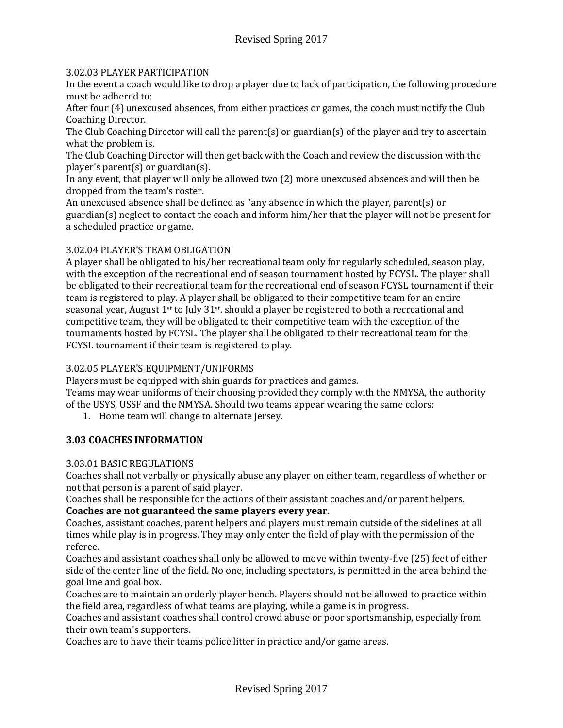## 3.02.03 PLAYER PARTICIPATION

In the event a coach would like to drop a player due to lack of participation, the following procedure must be adhered to:

After four (4) unexcused absences, from either practices or games, the coach must notify the Club Coaching Director.

The Club Coaching Director will call the parent(s) or guardian(s) of the player and try to ascertain what the problem is.

The Club Coaching Director will then get back with the Coach and review the discussion with the player's parent(s) or guardian(s).

In any event, that player will only be allowed two (2) more unexcused absences and will then be dropped from the team's roster.

An unexcused absence shall be defined as "any absence in which the player, parent(s) or guardian(s) neglect to contact the coach and inform him/her that the player will not be present for a scheduled practice or game.

## 3.02.04 PLAYER'S TEAM OBLIGATION

A player shall be obligated to his/her recreational team only for regularly scheduled, season play, with the exception of the recreational end of season tournament hosted by FCYSL. The player shall be obligated to their recreational team for the recreational end of season FCYSL tournament if their team is registered to play. A player shall be obligated to their competitive team for an entire seasonal year, August 1<sup>st</sup> to July 31<sup>st</sup>. should a player be registered to both a recreational and competitive team, they will be obligated to their competitive team with the exception of the tournaments hosted by FCYSL. The player shall be obligated to their recreational team for the FCYSL tournament if their team is registered to play.

## 3.02.05 PLAYER'S EQUIPMENT/UNIFORMS

Players must be equipped with shin guards for practices and games.

Teams may wear uniforms of their choosing provided they comply with the NMYSA, the authority of the USYS, USSF and the NMYSA. Should two teams appear wearing the same colors:

1. Home team will change to alternate jersey.

## **3.03 COACHES INFORMATION**

#### 3.03.01 BASIC REGULATIONS

Coaches shall not verbally or physically abuse any player on either team, regardless of whether or not that person is a parent of said player.

Coaches shall be responsible for the actions of their assistant coaches and/or parent helpers. **Coaches are not guaranteed the same players every year.**

Coaches, assistant coaches, parent helpers and players must remain outside of the sidelines at all times while play is in progress. They may only enter the field of play with the permission of the referee.

Coaches and assistant coaches shall only be allowed to move within twenty-five (25) feet of either side of the center line of the field. No one, including spectators, is permitted in the area behind the goal line and goal box.

Coaches are to maintain an orderly player bench. Players should not be allowed to practice within the field area, regardless of what teams are playing, while a game is in progress.

Coaches and assistant coaches shall control crowd abuse or poor sportsmanship, especially from their own team's supporters.

Coaches are to have their teams police litter in practice and/or game areas.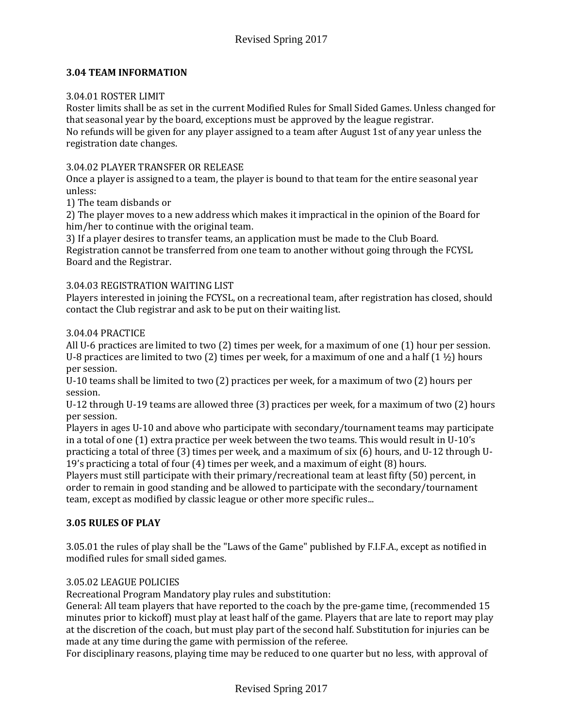## **3.04 TEAM INFORMATION**

#### 3.04.01 ROSTER LIMIT

Roster limits shall be as set in the current Modified Rules for Small Sided Games. Unless changed for that seasonal year by the board, exceptions must be approved by the league registrar.

No refunds will be given for any player assigned to a team after August 1st of any year unless the registration date changes.

#### 3.04.02 PLAYER TRANSFER OR RELEASE

Once a player is assigned to a team, the player is bound to that team for the entire seasonal year unless:

1) The team disbands or

2) The player moves to a new address which makes it impractical in the opinion of the Board for him/her to continue with the original team.

3) If a player desires to transfer teams, an application must be made to the Club Board. Registration cannot be transferred from one team to another without going through the FCYSL Board and the Registrar.

### 3.04.03 REGISTRATION WAITING LIST

Players interested in joining the FCYSL, on a recreational team, after registration has closed, should contact the Club registrar and ask to be put on their waiting list.

### 3.04.04 PRACTICE

All U-6 practices are limited to two (2) times per week, for a maximum of one (1) hour per session. U-8 practices are limited to two (2) times per week, for a maximum of one and a half  $(1 1/2)$  hours per session.

U-10 teams shall be limited to two (2) practices per week, for a maximum of two (2) hours per session.

U-12 through U-19 teams are allowed three (3) practices per week, for a maximum of two (2) hours per session.

Players in ages U-10 and above who participate with secondary/tournament teams may participate in a total of one (1) extra practice per week between the two teams. This would result in U-10's practicing a total of three (3) times per week, and a maximum of six (6) hours, and U-12 through U-19's practicing a total of four (4) times per week, and a maximum of eight (8) hours.

Players must still participate with their primary/recreational team at least fifty (50) percent, in order to remain in good standing and be allowed to participate with the secondary/tournament team, except as modified by classic league or other more specific rules...

## **3.05 RULES OF PLAY**

3.05.01 the rules of play shall be the "Laws of the Game" published by F.I.F.A., except as notified in modified rules for small sided games.

## 3.05.02 LEAGUE POLICIES

Recreational Program Mandatory play rules and substitution:

General: All team players that have reported to the coach by the pre-game time, (recommended 15 minutes prior to kickoff) must play at least half of the game. Players that are late to report may play at the discretion of the coach, but must play part of the second half. Substitution for injuries can be made at any time during the game with permission of the referee.

For disciplinary reasons, playing time may be reduced to one quarter but no less, with approval of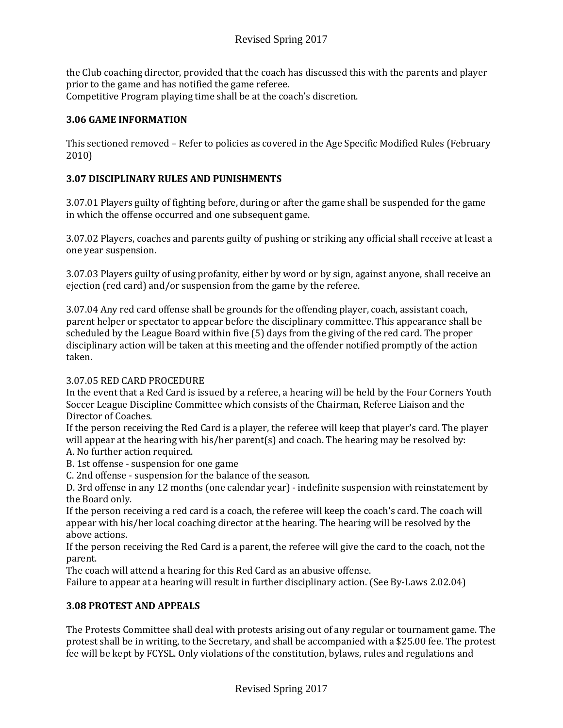the Club coaching director, provided that the coach has discussed this with the parents and player prior to the game and has notified the game referee. Competitive Program playing time shall be at the coach's discretion.

# **3.06 GAME INFORMATION**

This sectioned removed – Refer to policies as covered in the Age Specific Modified Rules (February 2010)

# **3.07 DISCIPLINARY RULES AND PUNISHMENTS**

3.07.01 Players guilty of fighting before, during or after the game shall be suspended for the game in which the offense occurred and one subsequent game.

3.07.02 Players, coaches and parents guilty of pushing or striking any official shall receive at least a one year suspension.

3.07.03 Players guilty of using profanity, either by word or by sign, against anyone, shall receive an ejection (red card) and/or suspension from the game by the referee.

3.07.04 Any red card offense shall be grounds for the offending player, coach, assistant coach, parent helper or spectator to appear before the disciplinary committee. This appearance shall be scheduled by the League Board within five (5) days from the giving of the red card. The proper disciplinary action will be taken at this meeting and the offender notified promptly of the action taken.

## 3.07.05 RED CARD PROCEDURE

In the event that a Red Card is issued by a referee, a hearing will be held by the Four Corners Youth Soccer League Discipline Committee which consists of the Chairman, Referee Liaison and the Director of Coaches.

If the person receiving the Red Card is a player, the referee will keep that player's card. The player will appear at the hearing with his/her parent(s) and coach. The hearing may be resolved by: A. No further action required.

B. 1st offense - suspension for one game

C. 2nd offense - suspension for the balance of the season.

D. 3rd offense in any 12 months (one calendar year) - indefinite suspension with reinstatement by the Board only.

If the person receiving a red card is a coach, the referee will keep the coach's card. The coach will appear with his/her local coaching director at the hearing. The hearing will be resolved by the above actions.

If the person receiving the Red Card is a parent, the referee will give the card to the coach, not the parent.

The coach will attend a hearing for this Red Card as an abusive offense.

Failure to appear at a hearing will result in further disciplinary action. (See By-Laws 2.02.04)

## **3.08 PROTEST AND APPEALS**

The Protests Committee shall deal with protests arising out of any regular or tournament game. The protest shall be in writing, to the Secretary, and shall be accompanied with a \$25.00 fee. The protest fee will be kept by FCYSL. Only violations of the constitution, bylaws, rules and regulations and